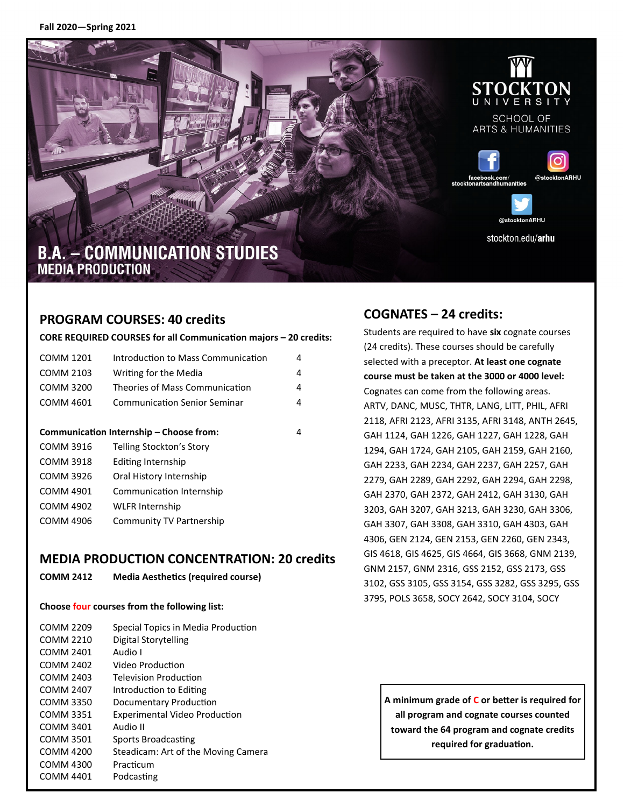

**SCHOOL OF ARTS & HUMANITIES** 





# **B.A. - COMMUNICATION STUDIES MEDIA PRODUCTION**

# **PROGRAM COURSES: 40 credits**

#### **CORE REQUIRED COURSES for all Communication majors – 20 credits:**

| <b>COMM 1201</b>                        | Introduction to Mass Communication | 4 |
|-----------------------------------------|------------------------------------|---|
| COMM 2103                               | Writing for the Media              | 4 |
| COMM 3200                               | Theories of Mass Communication     | 4 |
| COMM 4601                               | Communication Senior Seminar       | 4 |
|                                         |                                    |   |
| Communication Internship – Choose from: |                                    | 4 |
| <b>COMM 3916</b>                        | Telling Stockton's Story           |   |
| <b>COMM 3918</b>                        | Editing Internship                 |   |
| COMM 3926                               | Oral History Internship            |   |
| COMM 4901                               | Communication Internship           |   |
| COMM 4902                               | <b>WLFR Internship</b>             |   |
| COMM 4906                               | Community TV Partnership           |   |
|                                         |                                    |   |

# **MEDIA PRODUCTION CONCENTRATION: 20 credits**

**COMM 2412 Media Aesthetics (required course)**

#### **Choose four courses from the following list:**

| COMM 2209 | Special Topics in Media Production   |
|-----------|--------------------------------------|
| COMM 2210 | Digital Storytelling                 |
| COMM 2401 | Audio I                              |
| COMM 2402 | Video Production                     |
| COMM 2403 | <b>Television Production</b>         |
| COMM 2407 | Introduction to Editing              |
| COMM 3350 | Documentary Production               |
| COMM 3351 | <b>Experimental Video Production</b> |
| COMM 3401 | Audio II                             |
| COMM 3501 | Sports Broadcasting                  |
| COMM 4200 | Steadicam: Art of the Moving Camera  |
| COMM 4300 | Practicum                            |
| COMM 4401 | Podcasting                           |
|           |                                      |

# **COGNATES – 24 credits:**

Students are required to have **six** cognate courses (24 credits). These courses should be carefully selected with a preceptor. **At least one cognate course must be taken at the 3000 or 4000 level:**  Cognates can come from the following areas. ARTV, DANC, MUSC, THTR, LANG, LITT, PHIL, AFRI 2118, AFRI 2123, AFRI 3135, AFRI 3148, ANTH 2645, GAH 1124, GAH 1226, GAH 1227, GAH 1228, GAH 1294, GAH 1724, GAH 2105, GAH 2159, GAH 2160, GAH 2233, GAH 2234, GAH 2237, GAH 2257, GAH 2279, GAH 2289, GAH 2292, GAH 2294, GAH 2298, GAH 2370, GAH 2372, GAH 2412, GAH 3130, GAH 3203, GAH 3207, GAH 3213, GAH 3230, GAH 3306, GAH 3307, GAH 3308, GAH 3310, GAH 4303, GAH 4306, GEN 2124, GEN 2153, GEN 2260, GEN 2343, GIS 4618, GIS 4625, GIS 4664, GIS 3668, GNM 2139, GNM 2157, GNM 2316, GSS 2152, GSS 2173, GSS 3102, GSS 3105, GSS 3154, GSS 3282, GSS 3295, GSS 3795, POLS 3658, SOCY 2642, SOCY 3104, SOCY

**A minimum grade of C or better is required for all program and cognate courses counted toward the 64 program and cognate credits required for graduation.**